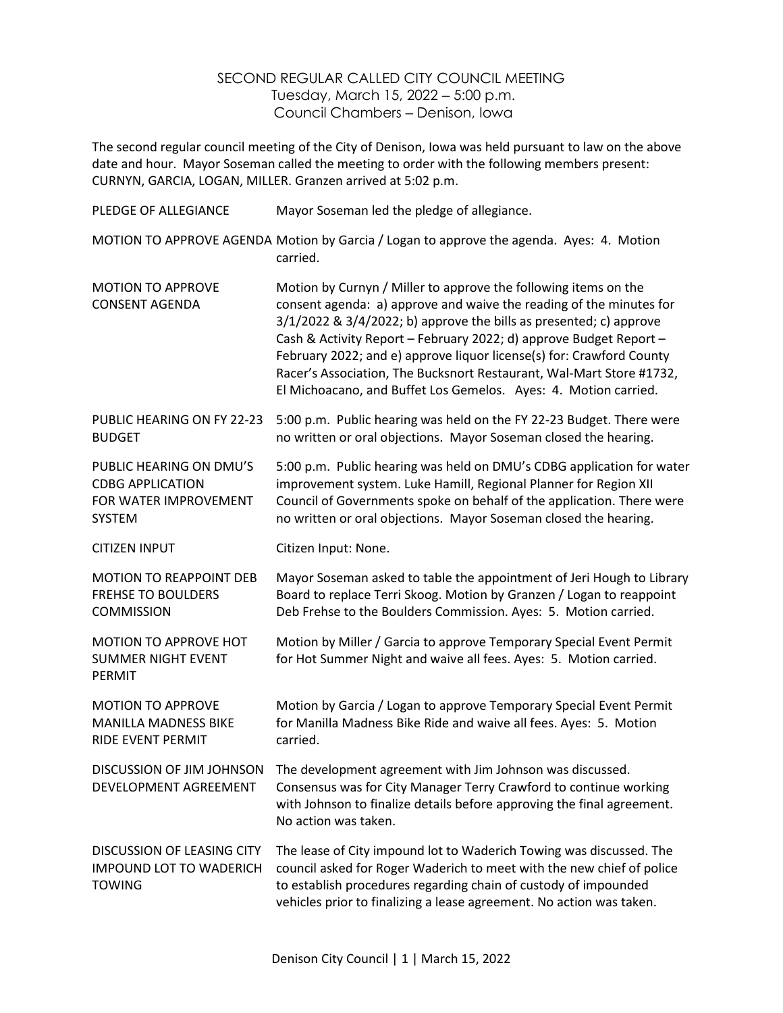## SECOND REGULAR CALLED CITY COUNCIL MEETING Tuesday, March 15, 2022 ‒ 5:00 p.m. Council Chambers ‒ Denison, Iowa

The second regular council meeting of the City of Denison, Iowa was held pursuant to law on the above date and hour. Mayor Soseman called the meeting to order with the following members present: CURNYN, GARCIA, LOGAN, MILLER. Granzen arrived at 5:02 p.m.

| PLEDGE OF ALLEGIANCE                                                                         | Mayor Soseman led the pledge of allegiance.                                                                                                                                                                                                                                                                                                                                                                                                                                                                |
|----------------------------------------------------------------------------------------------|------------------------------------------------------------------------------------------------------------------------------------------------------------------------------------------------------------------------------------------------------------------------------------------------------------------------------------------------------------------------------------------------------------------------------------------------------------------------------------------------------------|
|                                                                                              | MOTION TO APPROVE AGENDA Motion by Garcia / Logan to approve the agenda. Ayes: 4. Motion<br>carried.                                                                                                                                                                                                                                                                                                                                                                                                       |
| <b>MOTION TO APPROVE</b><br><b>CONSENT AGENDA</b>                                            | Motion by Curnyn / Miller to approve the following items on the<br>consent agenda: a) approve and waive the reading of the minutes for<br>$3/1/2022$ & $3/4/2022$ ; b) approve the bills as presented; c) approve<br>Cash & Activity Report - February 2022; d) approve Budget Report -<br>February 2022; and e) approve liquor license(s) for: Crawford County<br>Racer's Association, The Bucksnort Restaurant, Wal-Mart Store #1732,<br>El Michoacano, and Buffet Los Gemelos. Ayes: 4. Motion carried. |
| PUBLIC HEARING ON FY 22-23<br><b>BUDGET</b>                                                  | 5:00 p.m. Public hearing was held on the FY 22-23 Budget. There were<br>no written or oral objections. Mayor Soseman closed the hearing.                                                                                                                                                                                                                                                                                                                                                                   |
| PUBLIC HEARING ON DMU'S<br><b>CDBG APPLICATION</b><br>FOR WATER IMPROVEMENT<br><b>SYSTEM</b> | 5:00 p.m. Public hearing was held on DMU's CDBG application for water<br>improvement system. Luke Hamill, Regional Planner for Region XII<br>Council of Governments spoke on behalf of the application. There were<br>no written or oral objections. Mayor Soseman closed the hearing.                                                                                                                                                                                                                     |
| <b>CITIZEN INPUT</b>                                                                         | Citizen Input: None.                                                                                                                                                                                                                                                                                                                                                                                                                                                                                       |
| <b>MOTION TO REAPPOINT DEB</b><br><b>FREHSE TO BOULDERS</b><br><b>COMMISSION</b>             | Mayor Soseman asked to table the appointment of Jeri Hough to Library<br>Board to replace Terri Skoog. Motion by Granzen / Logan to reappoint<br>Deb Frehse to the Boulders Commission. Ayes: 5. Motion carried.                                                                                                                                                                                                                                                                                           |
| <b>MOTION TO APPROVE HOT</b><br><b>SUMMER NIGHT EVENT</b><br>PERMIT                          | Motion by Miller / Garcia to approve Temporary Special Event Permit<br>for Hot Summer Night and waive all fees. Ayes: 5. Motion carried.                                                                                                                                                                                                                                                                                                                                                                   |
| <b>MOTION TO APPROVE</b><br><b>MANILLA MADNESS BIKE</b><br>RIDE EVENT PERMIT                 | Motion by Garcia / Logan to approve Temporary Special Event Permit<br>for Manilla Madness Bike Ride and waive all fees. Ayes: 5. Motion<br>carried.                                                                                                                                                                                                                                                                                                                                                        |
| DISCUSSION OF JIM JOHNSON<br>DEVELOPMENT AGREEMENT                                           | The development agreement with Jim Johnson was discussed.<br>Consensus was for City Manager Terry Crawford to continue working<br>with Johnson to finalize details before approving the final agreement.<br>No action was taken.                                                                                                                                                                                                                                                                           |
| <b>DISCUSSION OF LEASING CITY</b><br><b>IMPOUND LOT TO WADERICH</b><br><b>TOWING</b>         | The lease of City impound lot to Waderich Towing was discussed. The<br>council asked for Roger Waderich to meet with the new chief of police<br>to establish procedures regarding chain of custody of impounded<br>vehicles prior to finalizing a lease agreement. No action was taken.                                                                                                                                                                                                                    |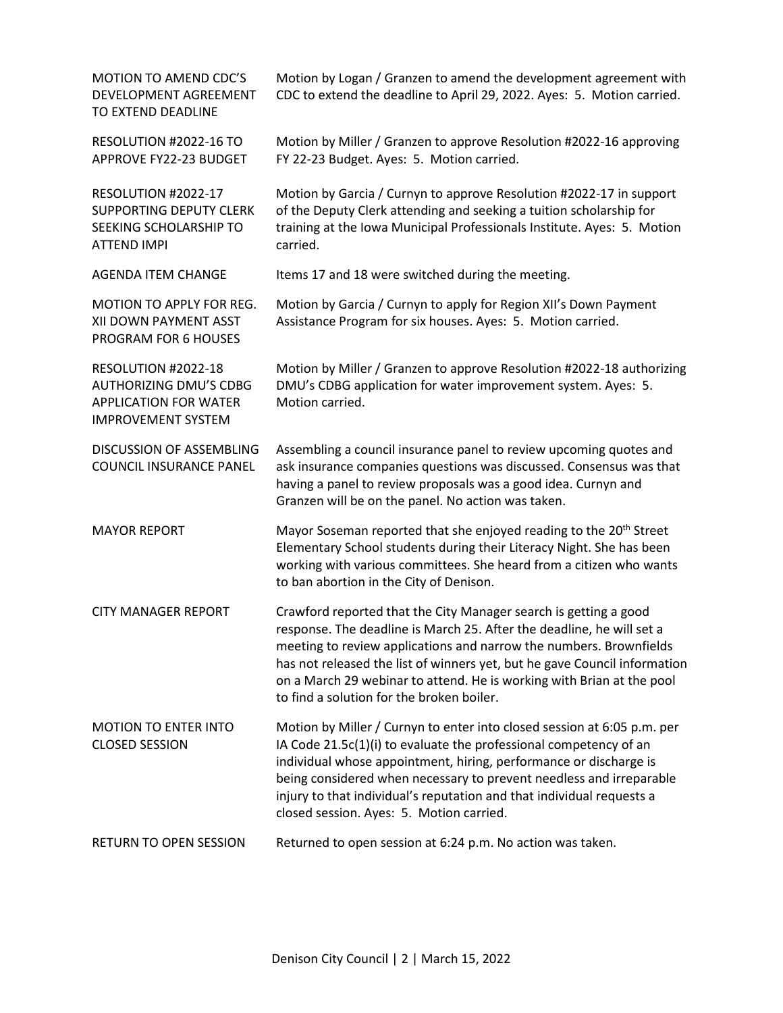| MOTION TO AMEND CDC'S<br>DEVELOPMENT AGREEMENT<br>TO EXTEND DEADLINE                                              | Motion by Logan / Granzen to amend the development agreement with<br>CDC to extend the deadline to April 29, 2022. Ayes: 5. Motion carried.                                                                                                                                                                                                                                                                        |
|-------------------------------------------------------------------------------------------------------------------|--------------------------------------------------------------------------------------------------------------------------------------------------------------------------------------------------------------------------------------------------------------------------------------------------------------------------------------------------------------------------------------------------------------------|
| RESOLUTION #2022-16 TO<br>APPROVE FY22-23 BUDGET                                                                  | Motion by Miller / Granzen to approve Resolution #2022-16 approving<br>FY 22-23 Budget. Ayes: 5. Motion carried.                                                                                                                                                                                                                                                                                                   |
| RESOLUTION #2022-17<br><b>SUPPORTING DEPUTY CLERK</b><br>SEEKING SCHOLARSHIP TO<br>ATTEND IMPI                    | Motion by Garcia / Curnyn to approve Resolution #2022-17 in support<br>of the Deputy Clerk attending and seeking a tuition scholarship for<br>training at the Iowa Municipal Professionals Institute. Ayes: 5. Motion<br>carried.                                                                                                                                                                                  |
| <b>AGENDA ITEM CHANGE</b>                                                                                         | Items 17 and 18 were switched during the meeting.                                                                                                                                                                                                                                                                                                                                                                  |
| MOTION TO APPLY FOR REG.<br>XII DOWN PAYMENT ASST<br>PROGRAM FOR 6 HOUSES                                         | Motion by Garcia / Curnyn to apply for Region XII's Down Payment<br>Assistance Program for six houses. Ayes: 5. Motion carried.                                                                                                                                                                                                                                                                                    |
| RESOLUTION #2022-18<br><b>AUTHORIZING DMU'S CDBG</b><br><b>APPLICATION FOR WATER</b><br><b>IMPROVEMENT SYSTEM</b> | Motion by Miller / Granzen to approve Resolution #2022-18 authorizing<br>DMU's CDBG application for water improvement system. Ayes: 5.<br>Motion carried.                                                                                                                                                                                                                                                          |
| <b>DISCUSSION OF ASSEMBLING</b><br>COUNCIL INSURANCE PANEL                                                        | Assembling a council insurance panel to review upcoming quotes and<br>ask insurance companies questions was discussed. Consensus was that<br>having a panel to review proposals was a good idea. Curnyn and<br>Granzen will be on the panel. No action was taken.                                                                                                                                                  |
| <b>MAYOR REPORT</b>                                                                                               | Mayor Soseman reported that she enjoyed reading to the 20 <sup>th</sup> Street<br>Elementary School students during their Literacy Night. She has been<br>working with various committees. She heard from a citizen who wants<br>to ban abortion in the City of Denison.                                                                                                                                           |
| <b>CITY MANAGER REPORT</b>                                                                                        | Crawford reported that the City Manager search is getting a good<br>response. The deadline is March 25. After the deadline, he will set a<br>meeting to review applications and narrow the numbers. Brownfields<br>has not released the list of winners yet, but he gave Council information<br>on a March 29 webinar to attend. He is working with Brian at the pool<br>to find a solution for the broken boiler. |
| <b>MOTION TO ENTER INTO</b><br><b>CLOSED SESSION</b>                                                              | Motion by Miller / Curnyn to enter into closed session at 6:05 p.m. per<br>IA Code 21.5c(1)(i) to evaluate the professional competency of an<br>individual whose appointment, hiring, performance or discharge is<br>being considered when necessary to prevent needless and irreparable<br>injury to that individual's reputation and that individual requests a<br>closed session. Ayes: 5. Motion carried.      |
| RETURN TO OPEN SESSION                                                                                            | Returned to open session at 6:24 p.m. No action was taken.                                                                                                                                                                                                                                                                                                                                                         |